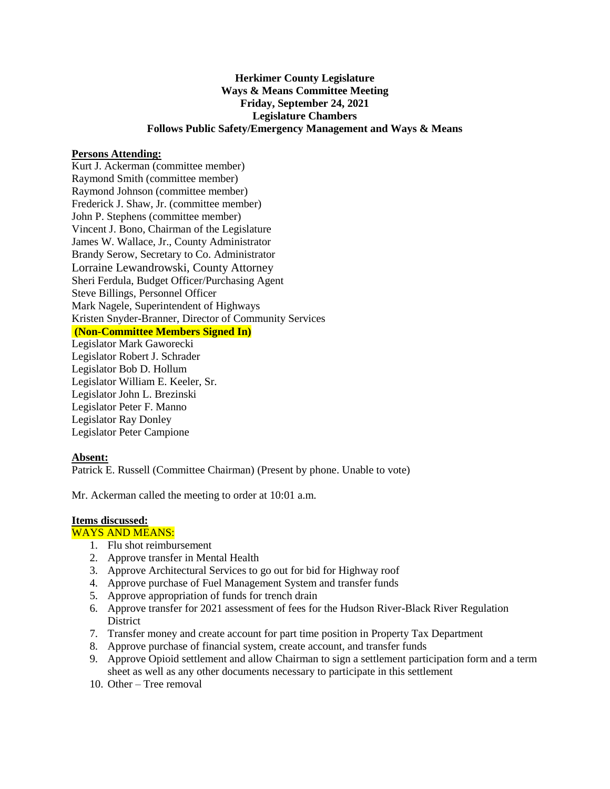## **Herkimer County Legislature Ways & Means Committee Meeting Friday, September 24, 2021 Legislature Chambers Follows Public Safety/Emergency Management and Ways & Means**

## **Persons Attending:**

Kurt J. Ackerman (committee member) Raymond Smith (committee member) Raymond Johnson (committee member) Frederick J. Shaw, Jr. (committee member) John P. Stephens (committee member) Vincent J. Bono, Chairman of the Legislature James W. Wallace, Jr., County Administrator Brandy Serow, Secretary to Co. Administrator Lorraine Lewandrowski, County Attorney Sheri Ferdula, Budget Officer/Purchasing Agent Steve Billings, Personnel Officer Mark Nagele, Superintendent of Highways Kristen Snyder-Branner, Director of Community Services **(Non-Committee Members Signed In)**

Legislator Mark Gaworecki Legislator Robert J. Schrader Legislator Bob D. Hollum Legislator William E. Keeler, Sr. Legislator John L. Brezinski Legislator Peter F. Manno Legislator Ray Donley Legislator Peter Campione

## **Absent:**

Patrick E. Russell (Committee Chairman) (Present by phone. Unable to vote)

Mr. Ackerman called the meeting to order at 10:01 a.m.

#### **Items discussed:**

## WAYS AND MEANS:

- 1. Flu shot reimbursement
- 2. Approve transfer in Mental Health
- 3. Approve Architectural Services to go out for bid for Highway roof
- 4. Approve purchase of Fuel Management System and transfer funds
- 5. Approve appropriation of funds for trench drain
- 6. Approve transfer for 2021 assessment of fees for the Hudson River-Black River Regulation **District**
- 7. Transfer money and create account for part time position in Property Tax Department
- 8. Approve purchase of financial system, create account, and transfer funds
- 9. Approve Opioid settlement and allow Chairman to sign a settlement participation form and a term sheet as well as any other documents necessary to participate in this settlement
- 10. Other Tree removal